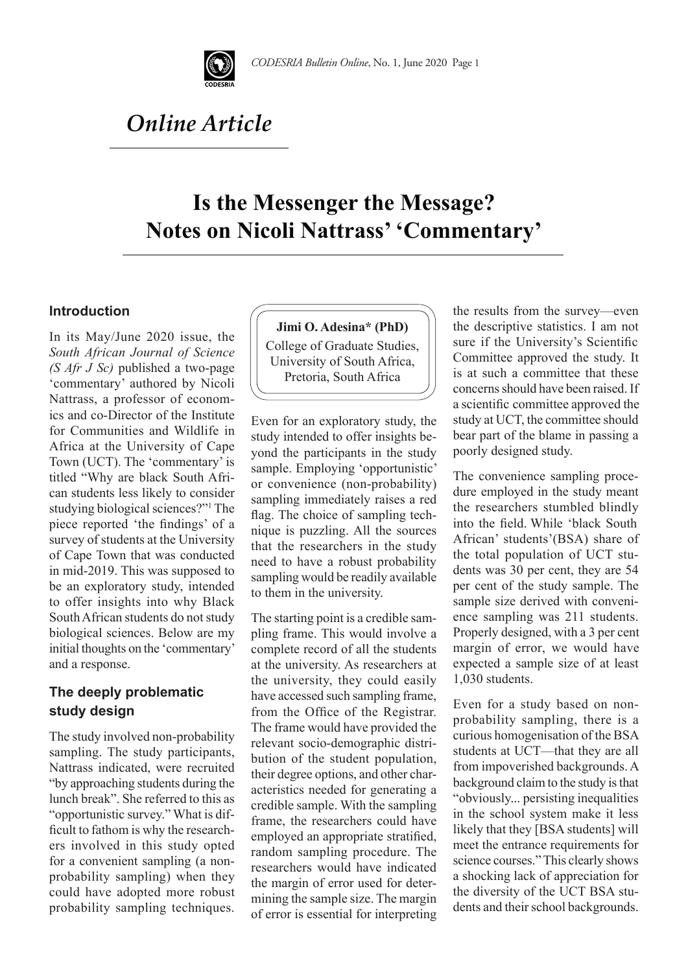

# *Online Article*

## **Is the Messenger the Message? Notes on Nicoli Nattrass' 'Commentary'**

#### **Introduction**

In its May/June 2020 issue, the *South African Journal of Science (S Afr J Sc)* published a two-page 'commentary' authored by Nicoli Nattrass, a professor of economics and co-Director of the Institute for Communities and Wildlife in Africa at the University of Cape Town (UCT). The 'commentary' is titled "Why are black South African students less likely to consider studying biological sciences?"1 The piece reported 'the findings' of a survey of students at the University of Cape Town that was conducted in mid-2019. This was supposed to be an exploratory study, intended to offer insights into why Black South African students do not study biological sciences. Below are my initial thoughts on the 'commentary' and a response.

### **The deeply problematic study design**

The study involved non-probability sampling. The study participants, Nattrass indicated, were recruited "by approaching students during the lunch break". She referred to this as "opportunistic survey." What is difficult to fathom is why the researchers involved in this study opted for a convenient sampling (a nonprobability sampling) when they could have adopted more robust probability sampling techniques.

#### **Jimi O. Adesina\* (PhD)**

College of Graduate Studies, University of South Africa, Pretoria, South Africa

Even for an exploratory study, the study intended to offer insights beyond the participants in the study sample. Employing 'opportunistic' or convenience (non-probability) sampling immediately raises a red flag. The choice of sampling technique is puzzling. All the sources that the researchers in the study need to have a robust probability sampling would be readily available to them in the university.

The starting point is a credible sampling frame. This would involve a complete record of all the students at the university. As researchers at the university, they could easily have accessed such sampling frame, from the Office of the Registrar. The frame would have provided the relevant socio-demographic distribution of the student population, their degree options, and other characteristics needed for generating a credible sample. With the sampling frame, the researchers could have employed an appropriate stratified, random sampling procedure. The researchers would have indicated the margin of error used for determining the sample size. The margin of error is essential for interpreting the results from the survey—even the descriptive statistics. I am not sure if the University's Scientific Committee approved the study. It is at such a committee that these concerns should have been raised. If a scientific committee approved the study at UCT, the committee should bear part of the blame in passing a poorly designed study.

The convenience sampling procedure employed in the study meant the researchers stumbled blindly into the field. While 'black South African' students'(BSA) share of the total population of UCT students was 30 per cent, they are 54 per cent of the study sample. The sample size derived with convenience sampling was 211 students. Properly designed, with a 3 per cent margin of error, we would have expected a sample size of at least 1,030 students.

Even for a study based on nonprobability sampling, there is a curious homogenisation of the BSA students at UCT—that they are all from impoverished backgrounds. A background claim to the study is that "obviously... persisting inequalities in the school system make it less likely that they [BSA students] will meet the entrance requirements for science courses." This clearly shows a shocking lack of appreciation for the diversity of the UCT BSA students and their school backgrounds.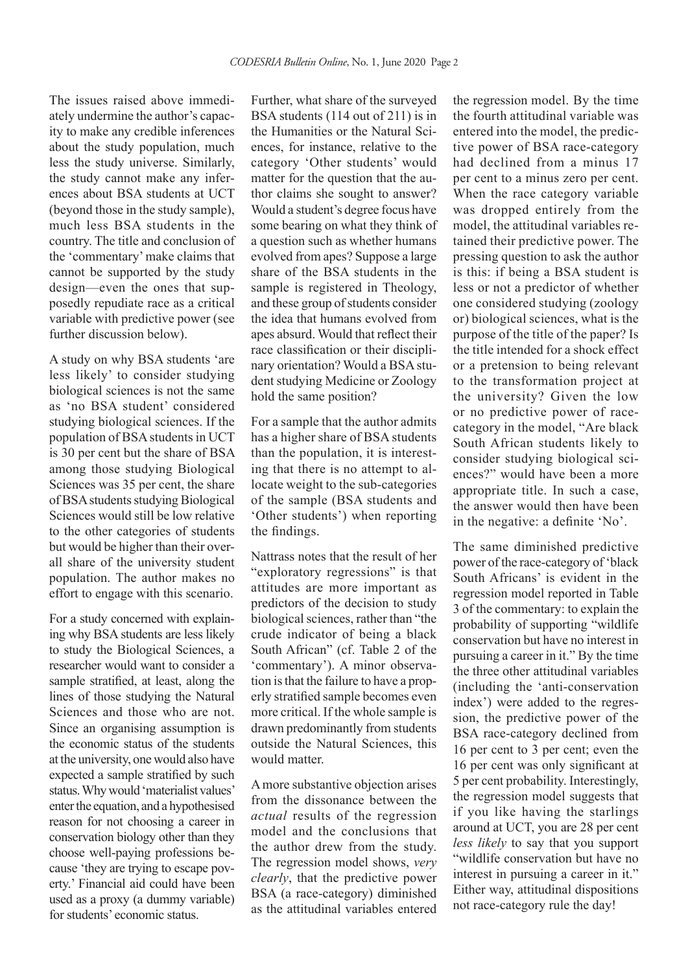The issues raised above immediately undermine the author's capacity to make any credible inferences about the study population, much less the study universe. Similarly, the study cannot make any inferences about BSA students at UCT (beyond those in the study sample), much less BSA students in the country. The title and conclusion of the 'commentary' make claims that cannot be supported by the study design—even the ones that supposedly repudiate race as a critical variable with predictive power (see further discussion below).

A study on why BSA students 'are less likely' to consider studying biological sciences is not the same as 'no BSA student' considered studying biological sciences. If the population of BSA students in UCT is 30 per cent but the share of BSA among those studying Biological Sciences was 35 per cent, the share of BSA students studying Biological Sciences would still be low relative to the other categories of students but would be higher than their overall share of the university student population. The author makes no effort to engage with this scenario.

For a study concerned with explaining why BSA students are less likely to study the Biological Sciences, a researcher would want to consider a sample stratified, at least, along the lines of those studying the Natural Sciences and those who are not. Since an organising assumption is the economic status of the students at the university, one would also have expected a sample stratified by such status. Why would 'materialist values' enter the equation, and a hypothesised reason for not choosing a career in conservation biology other than they choose well-paying professions because 'they are trying to escape poverty.' Financial aid could have been used as a proxy (a dummy variable) for students' economic status.

Further, what share of the surveyed BSA students (114 out of 211) is in the Humanities or the Natural Sciences, for instance, relative to the category 'Other students' would matter for the question that the author claims she sought to answer? Would a student's degree focus have some bearing on what they think of a question such as whether humans evolved from apes? Suppose a large share of the BSA students in the sample is registered in Theology, and these group of students consider the idea that humans evolved from apes absurd. Would that reflect their race classification or their disciplinary orientation? Would a BSA student studying Medicine or Zoology hold the same position?

For a sample that the author admits has a higher share of BSA students than the population, it is interesting that there is no attempt to allocate weight to the sub-categories of the sample (BSA students and 'Other students') when reporting the findings.

Nattrass notes that the result of her "exploratory regressions" is that attitudes are more important as predictors of the decision to study biological sciences, rather than "the crude indicator of being a black South African" (cf. Table 2 of the 'commentary'). A minor observation is that the failure to have a properly stratified sample becomes even more critical. If the whole sample is drawn predominantly from students outside the Natural Sciences, this would matter.

A more substantive objection arises from the dissonance between the *actual* results of the regression model and the conclusions that the author drew from the study. The regression model shows, *very clearly*, that the predictive power BSA (a race-category) diminished as the attitudinal variables entered the regression model. By the time the fourth attitudinal variable was entered into the model, the predictive power of BSA race-category had declined from a minus 17 per cent to a minus zero per cent. When the race category variable was dropped entirely from the model, the attitudinal variables retained their predictive power. The pressing question to ask the author is this: if being a BSA student is less or not a predictor of whether one considered studying (zoology or) biological sciences, what is the purpose of the title of the paper? Is the title intended for a shock effect or a pretension to being relevant to the transformation project at the university? Given the low or no predictive power of racecategory in the model, "Are black South African students likely to consider studying biological sciences?" would have been a more appropriate title. In such a case, the answer would then have been in the negative: a definite 'No'.

The same diminished predictive power of the race-category of 'black South Africans' is evident in the regression model reported in Table 3 of the commentary: to explain the probability of supporting "wildlife conservation but have no interest in pursuing a career in it." By the time the three other attitudinal variables (including the 'anti-conservation index') were added to the regression, the predictive power of the BSA race-category declined from 16 per cent to 3 per cent; even the 16 per cent was only significant at 5 per cent probability. Interestingly, the regression model suggests that if you like having the starlings around at UCT, you are 28 per cent *less likely* to say that you support "wildlife conservation but have no interest in pursuing a career in it." Either way, attitudinal dispositions not race-category rule the day!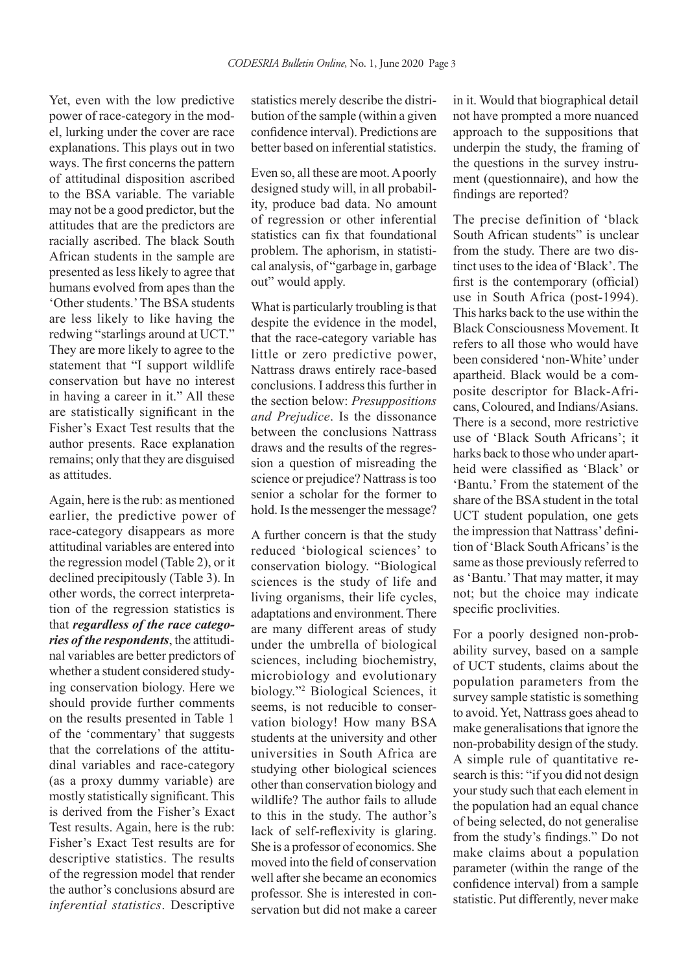Yet, even with the low predictive power of race-category in the model, lurking under the cover are race explanations. This plays out in two ways. The first concerns the pattern of attitudinal disposition ascribed to the BSA variable. The variable may not be a good predictor, but the attitudes that are the predictors are racially ascribed. The black South African students in the sample are presented as less likely to agree that humans evolved from apes than the 'Other students.' The BSA students are less likely to like having the redwing "starlings around at UCT." They are more likely to agree to the statement that "I support wildlife conservation but have no interest in having a career in it." All these are statistically significant in the Fisher's Exact Test results that the author presents. Race explanation remains; only that they are disguised as attitudes.

Again, here is the rub: as mentioned earlier, the predictive power of race-category disappears as more attitudinal variables are entered into the regression model (Table 2), or it declined precipitously (Table 3). In other words, the correct interpretation of the regression statistics is that *regardless of the race categories of the respondents*, the attitudinal variables are better predictors of whether a student considered studying conservation biology. Here we should provide further comments on the results presented in Table 1 of the 'commentary' that suggests that the correlations of the attitudinal variables and race-category (as a proxy dummy variable) are mostly statistically significant. This is derived from the Fisher's Exact Test results. Again, here is the rub: Fisher's Exact Test results are for descriptive statistics. The results of the regression model that render the author's conclusions absurd are *inferential statistics*. Descriptive

statistics merely describe the distribution of the sample (within a given confidence interval). Predictions are better based on inferential statistics.

Even so, all these are moot. A poorly designed study will, in all probability, produce bad data. No amount of regression or other inferential statistics can fix that foundational problem. The aphorism, in statistical analysis, of "garbage in, garbage out" would apply.

What is particularly troubling is that despite the evidence in the model, that the race-category variable has little or zero predictive power, Nattrass draws entirely race-based conclusions. I address this further in the section below: *Presuppositions and Prejudice*. Is the dissonance between the conclusions Nattrass draws and the results of the regression a question of misreading the science or prejudice? Nattrass is too senior a scholar for the former to hold. Is the messenger the message?

A further concern is that the study reduced 'biological sciences' to conservation biology. "Biological sciences is the study of life and living organisms, their life cycles, adaptations and environment. There are many different areas of study under the umbrella of biological sciences, including biochemistry, microbiology and evolutionary biology."2 Biological Sciences, it seems, is not reducible to conservation biology! How many BSA students at the university and other universities in South Africa are studying other biological sciences other than conservation biology and wildlife? The author fails to allude to this in the study. The author's lack of self-reflexivity is glaring. She is a professor of economics. She moved into the field of conservation well after she became an economics professor. She is interested in conservation but did not make a career

in it. Would that biographical detail not have prompted a more nuanced approach to the suppositions that underpin the study, the framing of the questions in the survey instrument (questionnaire), and how the findings are reported?

The precise definition of 'black South African students" is unclear from the study. There are two distinct uses to the idea of 'Black'. The first is the contemporary (official) use in South Africa (post-1994). This harks back to the use within the Black Consciousness Movement. It refers to all those who would have been considered 'non-White' under apartheid. Black would be a composite descriptor for Black-Africans, Coloured, and Indians/Asians. There is a second, more restrictive use of 'Black South Africans'; it harks back to those who under apartheid were classified as 'Black' or 'Bantu.' From the statement of the share of the BSA student in the total UCT student population, one gets the impression that Nattrass' definition of 'Black South Africans' is the same as those previously referred to as 'Bantu.' That may matter, it may not; but the choice may indicate specific proclivities.

For a poorly designed non-probability survey, based on a sample of UCT students, claims about the population parameters from the survey sample statistic is something to avoid. Yet, Nattrass goes ahead to make generalisations that ignore the non-probability design of the study. A simple rule of quantitative research is this: "if you did not design your study such that each element in the population had an equal chance of being selected, do not generalise from the study's findings." Do not make claims about a population parameter (within the range of the confidence interval) from a sample statistic. Put differently, never make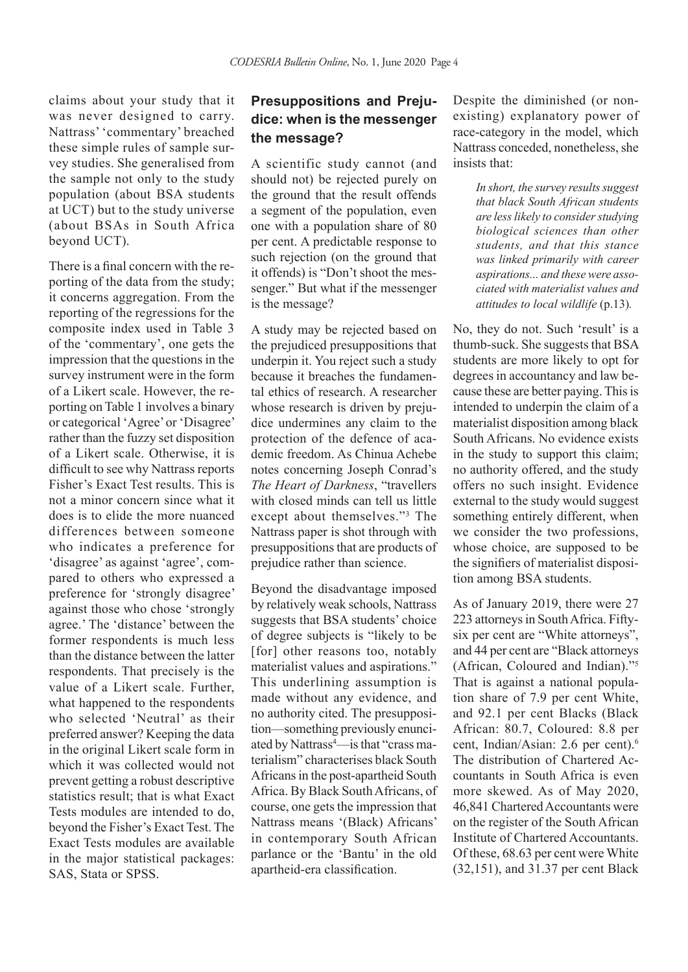claims about your study that it was never designed to carry. Nattrass' 'commentary' breached these simple rules of sample survey studies. She generalised from the sample not only to the study population (about BSA students at UCT) but to the study universe (about BSAs in South Africa beyond UCT).

There is a final concern with the reporting of the data from the study; it concerns aggregation. From the reporting of the regressions for the composite index used in Table 3 of the 'commentary', one gets the impression that the questions in the survey instrument were in the form of a Likert scale. However, the reporting on Table 1 involves a binary or categorical 'Agree' or 'Disagree' rather than the fuzzy set disposition of a Likert scale. Otherwise, it is difficult to see why Nattrass reports Fisher's Exact Test results. This is not a minor concern since what it does is to elide the more nuanced differences between someone who indicates a preference for 'disagree' as against 'agree', compared to others who expressed a preference for 'strongly disagree' against those who chose 'strongly agree.' The 'distance' between the former respondents is much less than the distance between the latter respondents. That precisely is the value of a Likert scale. Further, what happened to the respondents who selected 'Neutral' as their preferred answer? Keeping the data in the original Likert scale form in which it was collected would not prevent getting a robust descriptive statistics result; that is what Exact Tests modules are intended to do, beyond the Fisher's Exact Test. The Exact Tests modules are available in the major statistical packages: SAS, Stata or SPSS.

## **Presuppositions and Prejudice: when is the messenger the message?**

A scientific study cannot (and should not) be rejected purely on the ground that the result offends a segment of the population, even one with a population share of 80 per cent. A predictable response to such rejection (on the ground that it offends) is "Don't shoot the messenger." But what if the messenger is the message?

A study may be rejected based on the prejudiced presuppositions that underpin it. You reject such a study because it breaches the fundamental ethics of research. A researcher whose research is driven by prejudice undermines any claim to the protection of the defence of academic freedom. As Chinua Achebe notes concerning Joseph Conrad's *The Heart of Darkness*, "travellers with closed minds can tell us little except about themselves."3 The Nattrass paper is shot through with presuppositions that are products of prejudice rather than science.

Beyond the disadvantage imposed by relatively weak schools, Nattrass suggests that BSA students' choice of degree subjects is "likely to be [for] other reasons too, notably materialist values and aspirations." This underlining assumption is made without any evidence, and no authority cited. The presupposition—something previously enunciated by Nattrass<sup>4</sup>—is that "crass materialism" characterises black South Africans in the post-apartheid South Africa. By Black South Africans, of course, one gets the impression that Nattrass means '(Black) Africans' in contemporary South African parlance or the 'Bantu' in the old apartheid-era classification.

Despite the diminished (or nonexisting) explanatory power of race-category in the model, which Nattrass conceded, nonetheless, she insists that:

> *In short, the survey results suggest that black South African students are less likely to consider studying biological sciences than other students, and that this stance was linked primarily with career aspirations... and these were associated with materialist values and attitudes to local wildlife* (p.13)*.*

No, they do not. Such 'result' is a thumb-suck. She suggests that BSA students are more likely to opt for degrees in accountancy and law because these are better paying. This is intended to underpin the claim of a materialist disposition among black South Africans. No evidence exists in the study to support this claim; no authority offered, and the study offers no such insight. Evidence external to the study would suggest something entirely different, when we consider the two professions, whose choice, are supposed to be the signifiers of materialist disposition among BSA students.

As of January 2019, there were 27 223 attorneys in South Africa. Fiftysix per cent are "White attorneys", and 44 per cent are "Black attorneys (African, Coloured and Indian)."5 That is against a national population share of 7.9 per cent White, and 92.1 per cent Blacks (Black African: 80.7, Coloured: 8.8 per cent, Indian/Asian: 2.6 per cent).6 The distribution of Chartered Accountants in South Africa is even more skewed. As of May 2020, 46,841 Chartered Accountants were on the register of the South African Institute of Chartered Accountants. Of these, 68.63 per cent were White (32,151), and 31.37 per cent Black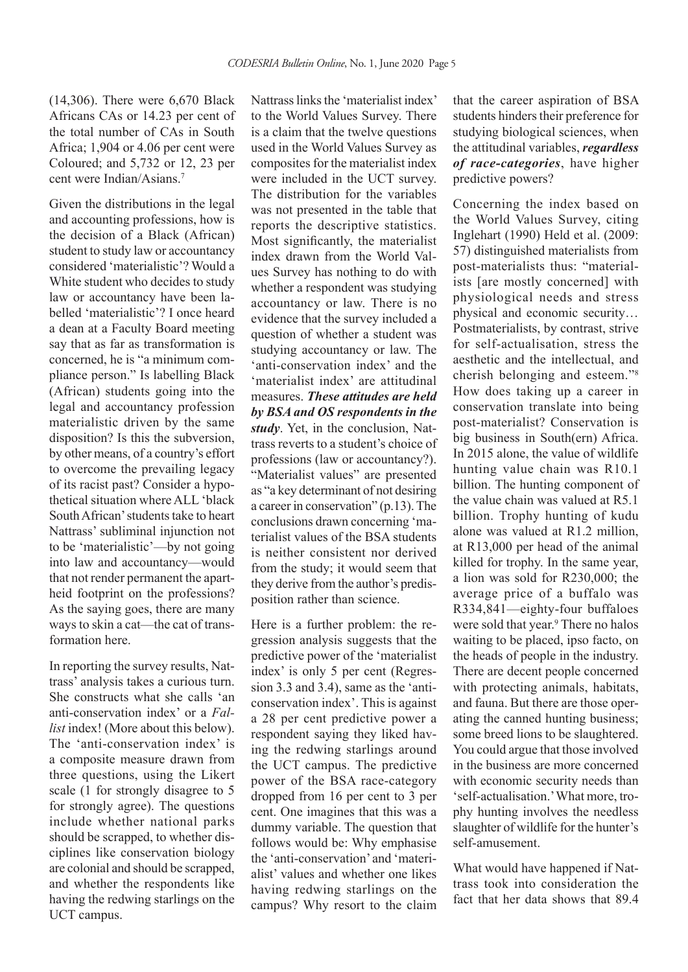(14,306). There were 6,670 Black Africans CAs or 14.23 per cent of the total number of CAs in South Africa; 1,904 or 4.06 per cent were Coloured; and 5,732 or 12, 23 per cent were Indian/Asians<sup>7</sup>

Given the distributions in the legal and accounting professions, how is the decision of a Black (African) student to study law or accountancy considered 'materialistic'? Would a White student who decides to study law or accountancy have been labelled 'materialistic'? I once heard a dean at a Faculty Board meeting say that as far as transformation is concerned, he is "a minimum compliance person." Is labelling Black (African) students going into the legal and accountancy profession materialistic driven by the same disposition? Is this the subversion, by other means, of a country's effort to overcome the prevailing legacy of its racist past? Consider a hypothetical situation where ALL 'black South African' students take to heart Nattrass' subliminal injunction not to be 'materialistic'—by not going into law and accountancy—would that not render permanent the apartheid footprint on the professions? As the saying goes, there are many ways to skin a cat—the cat of transformation here.

In reporting the survey results, Nattrass' analysis takes a curious turn. She constructs what she calls 'an anti-conservation index' or a *Fallist* index! (More about this below). The 'anti-conservation index' is a composite measure drawn from three questions, using the Likert scale (1 for strongly disagree to 5 for strongly agree). The questions include whether national parks should be scrapped, to whether disciplines like conservation biology are colonial and should be scrapped, and whether the respondents like having the redwing starlings on the UCT campus.

Nattrass links the 'materialist index' to the World Values Survey. There is a claim that the twelve questions used in the World Values Survey as composites for the materialist index were included in the UCT survey. The distribution for the variables was not presented in the table that reports the descriptive statistics. Most significantly, the materialist index drawn from the World Values Survey has nothing to do with whether a respondent was studying accountancy or law. There is no evidence that the survey included a question of whether a student was studying accountancy or law. The 'anti-conservation index' and the 'materialist index' are attitudinal measures. *These attitudes are held by BSA and OS respondents in the study*. Yet, in the conclusion, Nattrass reverts to a student's choice of professions (law or accountancy?). "Materialist values" are presented as "a key determinant of not desiring a career in conservation" (p.13). The conclusions drawn concerning 'materialist values of the BSA students is neither consistent nor derived from the study; it would seem that they derive from the author's predisposition rather than science.

Here is a further problem: the regression analysis suggests that the predictive power of the 'materialist index' is only 5 per cent (Regression 3.3 and 3.4), same as the 'anticonservation index'. This is against a 28 per cent predictive power a respondent saying they liked having the redwing starlings around the UCT campus. The predictive power of the BSA race-category dropped from 16 per cent to 3 per cent. One imagines that this was a dummy variable. The question that follows would be: Why emphasise the 'anti-conservation' and 'materialist' values and whether one likes having redwing starlings on the campus? Why resort to the claim that the career aspiration of BSA students hinders their preference for studying biological sciences, when the attitudinal variables, *regardless of race-categories*, have higher predictive powers?

Concerning the index based on the World Values Survey, citing Inglehart (1990) Held et al. (2009: 57) distinguished materialists from post-materialists thus: "materialists [are mostly concerned] with physiological needs and stress physical and economic security… Postmaterialists, by contrast, strive for self-actualisation, stress the aesthetic and the intellectual, and cherish belonging and esteem."8 How does taking up a career in conservation translate into being post-materialist? Conservation is big business in South(ern) Africa. In 2015 alone, the value of wildlife hunting value chain was R10.1 billion. The hunting component of the value chain was valued at R5.1 billion. Trophy hunting of kudu alone was valued at R1.2 million, at R13,000 per head of the animal killed for trophy. In the same year, a lion was sold for R230,000; the average price of a buffalo was R334,841—eighty-four buffaloes were sold that year.<sup>9</sup> There no halos waiting to be placed, ipso facto, on the heads of people in the industry. There are decent people concerned with protecting animals, habitats, and fauna. But there are those operating the canned hunting business; some breed lions to be slaughtered. You could argue that those involved in the business are more concerned with economic security needs than 'self-actualisation.' What more, trophy hunting involves the needless slaughter of wildlife for the hunter's self-amusement.

What would have happened if Nattrass took into consideration the fact that her data shows that 89.4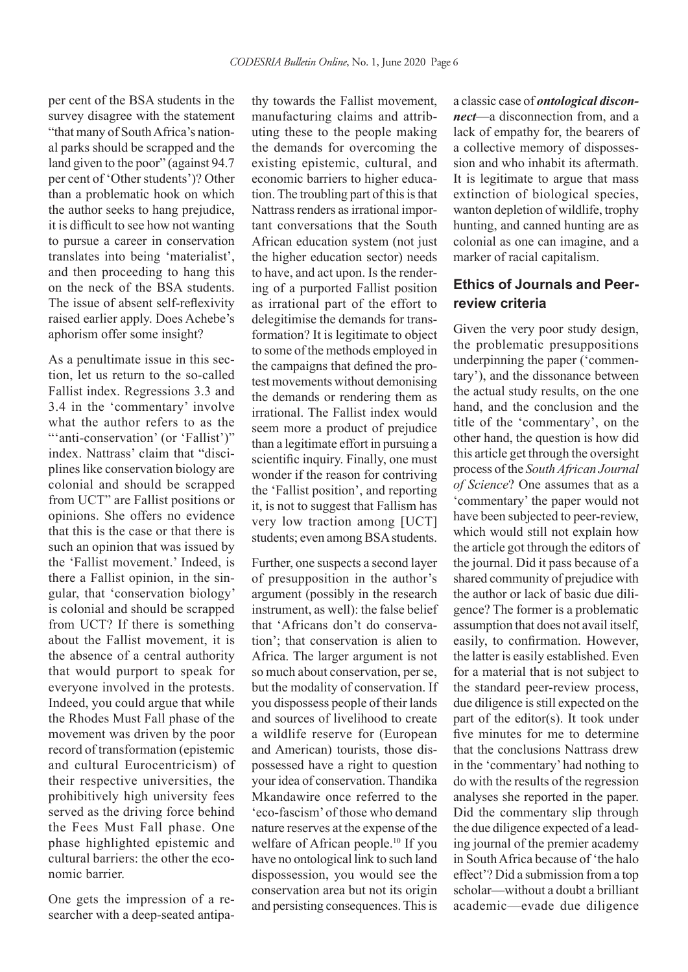per cent of the BSA students in the survey disagree with the statement "that many of South Africa's national parks should be scrapped and the land given to the poor" (against 94.7 per cent of 'Other students')? Other than a problematic hook on which the author seeks to hang prejudice, it is difficult to see how not wanting to pursue a career in conservation translates into being 'materialist', and then proceeding to hang this on the neck of the BSA students. The issue of absent self-reflexivity raised earlier apply. Does Achebe's aphorism offer some insight?

As a penultimate issue in this section, let us return to the so-called Fallist index. Regressions 3.3 and 3.4 in the 'commentary' involve what the author refers to as the "'anti-conservation' (or 'Fallist')" index. Nattrass' claim that "disciplines like conservation biology are colonial and should be scrapped from UCT" are Fallist positions or opinions. She offers no evidence that this is the case or that there is such an opinion that was issued by the 'Fallist movement.' Indeed, is there a Fallist opinion, in the singular, that 'conservation biology' is colonial and should be scrapped from UCT? If there is something about the Fallist movement, it is the absence of a central authority that would purport to speak for everyone involved in the protests. Indeed, you could argue that while the Rhodes Must Fall phase of the movement was driven by the poor record of transformation (epistemic and cultural Eurocentricism) of their respective universities, the prohibitively high university fees served as the driving force behind the Fees Must Fall phase. One phase highlighted epistemic and cultural barriers: the other the economic barrier.

One gets the impression of a researcher with a deep-seated antipathy towards the Fallist movement, manufacturing claims and attributing these to the people making the demands for overcoming the existing epistemic, cultural, and economic barriers to higher education. The troubling part of this is that Nattrass renders as irrational important conversations that the South African education system (not just the higher education sector) needs to have, and act upon. Is the rendering of a purported Fallist position as irrational part of the effort to delegitimise the demands for transformation? It is legitimate to object to some of the methods employed in the campaigns that defined the protest movements without demonising the demands or rendering them as irrational. The Fallist index would seem more a product of prejudice than a legitimate effort in pursuing a scientific inquiry. Finally, one must wonder if the reason for contriving the 'Fallist position', and reporting it, is not to suggest that Fallism has very low traction among [UCT] students; even among BSA students.

Further, one suspects a second layer of presupposition in the author's argument (possibly in the research instrument, as well): the false belief that 'Africans don't do conservation'; that conservation is alien to Africa. The larger argument is not so much about conservation, per se, but the modality of conservation. If you dispossess people of their lands and sources of livelihood to create a wildlife reserve for (European and American) tourists, those dispossessed have a right to question your idea of conservation. Thandika Mkandawire once referred to the 'eco-fascism' of those who demand nature reserves at the expense of the welfare of African people.<sup>10</sup> If you have no ontological link to such land dispossession, you would see the conservation area but not its origin and persisting consequences. This is

a classic case of *ontological disconnect*—a disconnection from, and a lack of empathy for, the bearers of a collective memory of dispossession and who inhabit its aftermath. It is legitimate to argue that mass extinction of biological species, wanton depletion of wildlife, trophy hunting, and canned hunting are as colonial as one can imagine, and a marker of racial capitalism.

## **Ethics of Journals and Peerreview criteria**

Given the very poor study design, the problematic presuppositions underpinning the paper ('commentary'), and the dissonance between the actual study results, on the one hand, and the conclusion and the title of the 'commentary', on the other hand, the question is how did this article get through the oversight process of the *South African Journal of Science*? One assumes that as a 'commentary' the paper would not have been subjected to peer-review, which would still not explain how the article got through the editors of the journal. Did it pass because of a shared community of prejudice with the author or lack of basic due diligence? The former is a problematic assumption that does not avail itself, easily, to confirmation. However, the latter is easily established. Even for a material that is not subject to the standard peer-review process, due diligence is still expected on the part of the editor(s). It took under five minutes for me to determine that the conclusions Nattrass drew in the 'commentary' had nothing to do with the results of the regression analyses she reported in the paper. Did the commentary slip through the due diligence expected of a leading journal of the premier academy in South Africa because of 'the halo effect'? Did a submission from a top scholar—without a doubt a brilliant academic—evade due diligence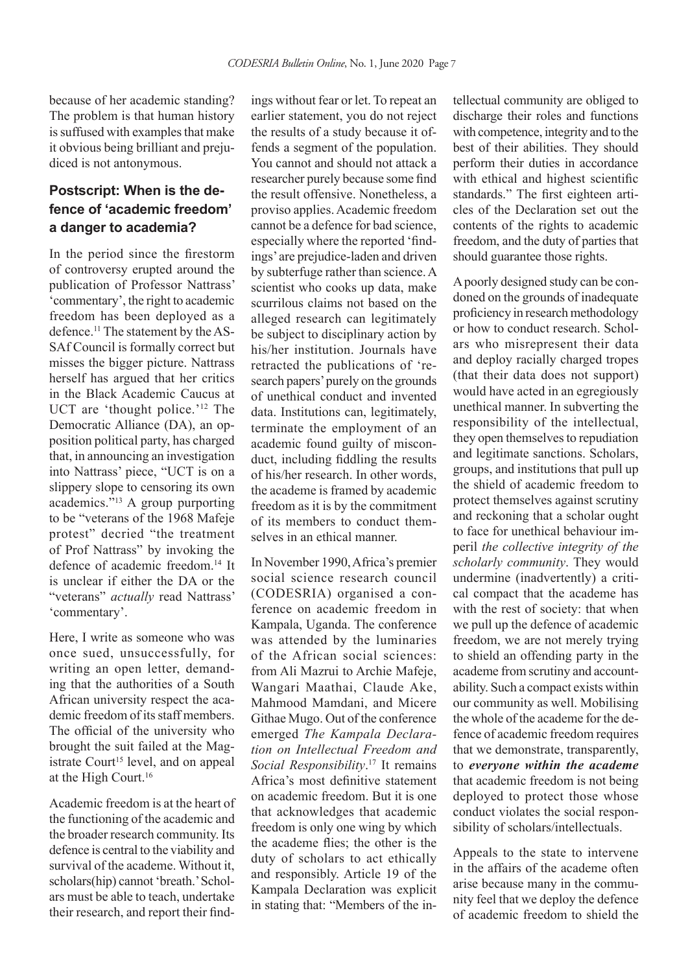because of her academic standing? The problem is that human history is suffused with examples that make it obvious being brilliant and prejudiced is not antonymous.

## **Postscript: When is the defence of 'academic freedom' a danger to academia?**

In the period since the firestorm of controversy erupted around the publication of Professor Nattrass' 'commentary', the right to academic freedom has been deployed as a defence.11 The statement by the AS-SAf Council is formally correct but misses the bigger picture. Nattrass herself has argued that her critics in the Black Academic Caucus at UCT are 'thought police.'<sup>12</sup> The Democratic Alliance (DA), an opposition political party, has charged that, in announcing an investigation into Nattrass' piece, "UCT is on a slippery slope to censoring its own academics."13 A group purporting to be "veterans of the 1968 Mafeje protest" decried "the treatment of Prof Nattrass" by invoking the defence of academic freedom.14 It is unclear if either the DA or the "veterans" *actually* read Nattrass' 'commentary'.

Here, I write as someone who was once sued, unsuccessfully, for writing an open letter, demanding that the authorities of a South African university respect the academic freedom of its staff members. The official of the university who brought the suit failed at the Magistrate Court<sup>15</sup> level, and on appeal at the High Court.16

Academic freedom is at the heart of the functioning of the academic and the broader research community. Its defence is central to the viability and survival of the academe. Without it, scholars(hip) cannot 'breath.' Scholars must be able to teach, undertake their research, and report their find-

ings without fear or let. To repeat an earlier statement, you do not reject the results of a study because it offends a segment of the population. You cannot and should not attack a researcher purely because some find the result offensive. Nonetheless, a proviso applies. Academic freedom cannot be a defence for bad science, especially where the reported 'findings' are prejudice-laden and driven by subterfuge rather than science. A scientist who cooks up data, make scurrilous claims not based on the alleged research can legitimately be subject to disciplinary action by his/her institution. Journals have retracted the publications of 'research papers' purely on the grounds of unethical conduct and invented data. Institutions can, legitimately, terminate the employment of an academic found guilty of misconduct, including fiddling the results of his/her research. In other words, the academe is framed by academic freedom as it is by the commitment of its members to conduct themselves in an ethical manner.

In November 1990, Africa's premier social science research council (CODESRIA) organised a conference on academic freedom in Kampala, Uganda. The conference was attended by the luminaries of the African social sciences: from Ali Mazrui to Archie Mafeje, Wangari Maathai, Claude Ake, Mahmood Mamdani, and Micere Githae Mugo. Out of the conference emerged *The Kampala Declaration on Intellectual Freedom and Social Responsibility*. 17 It remains Africa's most definitive statement on academic freedom. But it is one that acknowledges that academic freedom is only one wing by which the academe flies; the other is the duty of scholars to act ethically and responsibly. Article 19 of the Kampala Declaration was explicit in stating that: "Members of the intellectual community are obliged to discharge their roles and functions with competence, integrity and to the best of their abilities. They should perform their duties in accordance with ethical and highest scientific standards." The first eighteen articles of the Declaration set out the contents of the rights to academic freedom, and the duty of parties that should guarantee those rights.

A poorly designed study can be condoned on the grounds of inadequate proficiency in research methodology or how to conduct research. Scholars who misrepresent their data and deploy racially charged tropes (that their data does not support) would have acted in an egregiously unethical manner. In subverting the responsibility of the intellectual, they open themselves to repudiation and legitimate sanctions. Scholars, groups, and institutions that pull up the shield of academic freedom to protect themselves against scrutiny and reckoning that a scholar ought to face for unethical behaviour imperil *the collective integrity of the scholarly community*. They would undermine (inadvertently) a critical compact that the academe has with the rest of society: that when we pull up the defence of academic freedom, we are not merely trying to shield an offending party in the academe from scrutiny and accountability. Such a compact exists within our community as well. Mobilising the whole of the academe for the defence of academic freedom requires that we demonstrate, transparently, to *everyone within the academe*  that academic freedom is not being deployed to protect those whose conduct violates the social responsibility of scholars/intellectuals.

Appeals to the state to intervene in the affairs of the academe often arise because many in the community feel that we deploy the defence of academic freedom to shield the